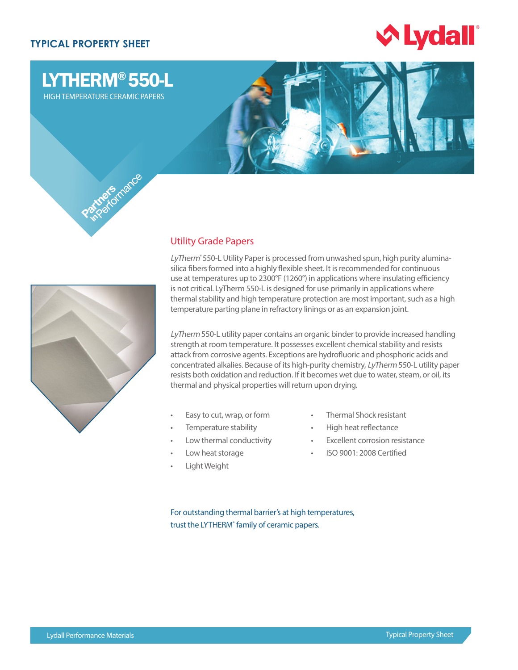## **TYPICAL PROPERTY SHEET**



# LYTHERM® 550-L

HIGH TEMPERATURE CERAMIC PAPERS





### Utility Grade Papers

LyTherm<sup>®</sup> 550-L Utility Paper is processed from unwashed spun, high purity aluminasilica fibers formed into a highly flexible sheet. It is recommended for continuous use at temperatures up to 2300°F (1260°) in applications where insulating efficiency is not critical. LyTherm 550-L is designed for use primarily in applications where thermal stability and high temperature protection are most important, such as a high temperature parting plane in refractory linings or as an expansion joint.

LyTherm 550-L utility paper contains an organic binder to provide increased handling strength at room temperature. It possesses excellent chemical stability and resists attack from corrosive agents. Exceptions are hydrofluoric and phosphoric acids and concentrated alkalies. Because of its high-purity chemistry, LyTherm 550-L utility paper resists both oxidation and reduction. If it becomes wet due to water, steam, or oil, its thermal and physical properties will return upon drying.

- Easy to cut, wrap, or form
- Temperature stability
- Low thermal conductivity
- Low heat storage
- Light Weight
- Thermal Shock resistant
- High heat reflectance
- Excellent corrosion resistance
- ISO 9001: 2008 Certified

For outstanding thermal barrier's at high temperatures, trust the LYTHERM<sup>®</sup> family of ceramic papers.